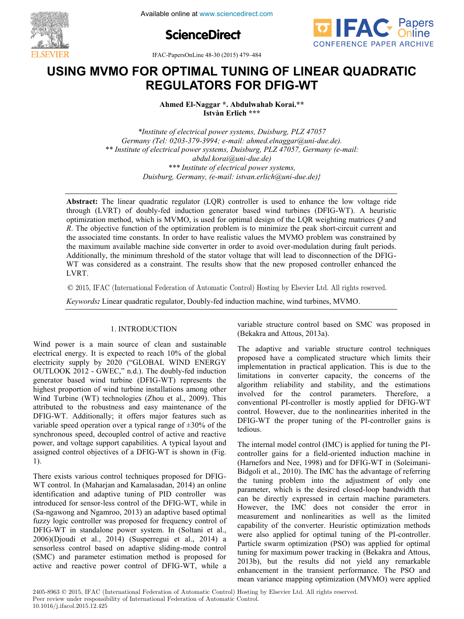

**ScienceDirect**



IFAC-PapersOnLine 48-30 (2015) 479–484

# **USING MVMO FOR OPTIMAL TUNING OF LINEAR QUADRATIC REGULATORS FOR DFIG-WT USING MVMO FOR OPTIMAL TUNING OF LINEAR QUADRATIC USING MVMO FOR OPTIMAL TUNING OF LINEAR QUADRATIC USING MVMO FOR OPTIMAL TUNING OF LINEAR QUADRATIC REGULATORS FOR DFIG-WT REGULATORS FOR DFIG-WT REGULATORS FOR DFIG-WT**

**Ahmed El-Naggar \*. Abdulwahab Korai.\*\* Istvàn Erlich \*\*\* Istvàn Erlich \*\*\* Istvàn Erlich \*\*\* Ahmed El-Naggar \*. Abdulwahab Korai.\*\* Ahmed El-Naggar \*. Abdulwahab Korai.\*\* Ahmed El-Naggar \*. Abdulwahab Korai.\*\***

**Istvàn Erlich \*\*\*** *\*Institute of electrical power systems, Duisburg, PLZ 47057* \*\* Institute of electrical power systems, Duisburg, PLZ 47057, Germany (e-mail: abdut.kordigam-due.de)<br>\*\*\* Institute of electrical power systems, *abdule by electrical power s \*\*\* Institute of electrical power systems, Duisburg, Germany, (e-mail: istvan.erlich@uni-due.de)} Duisburg, Germany, (e-mail: istvan.erlich@uni-due.de)} \*\*\* Institute of electrical power systems, \*Institute of electrical power systems, Duisburg, PLZ 47057 \*Institute of electrical power systems, Duisburg, PLZ 47057 Germany (Tel: 0203-379-3994; e-mail: ahmed.elnaggar@uni-due.de). Germany (Tel: 0203-379-3994; e-mail: ahmed.elnaggar@uni-due.de). \*Institute of electrical power systems, Duisburg, PLZ 47057 abdul.korai@uni-due.de) abdul.korai@uni-due.de) \*\* Institute of electrical power systems, Duisburg, PLZ 47057, Germany (e-mail: Duisburg, Germany, (e-mail: istvan.erlich@uni-due.de)}*

*Duisburg, Germany, (e-mail: istvan.erlich@uni-due.de)}*

optimization method, which is MVMO, is used for optimal design of the LQR weighting matrices  $Q$  and  $R$ . The objective function of the optimization problem is to minimize the peak short-circuit current and  $R$ . the associated time constants. In order to have realistic values the MVMO problem was constrained by the associated three constants. In order to have realistic values the MVMO problem was constrained by the maximum available machine side converter in order to avoid over-modulation during fault periods. Additionally, the minimum threshold of the stator voltage that will lead to disconnection of the DFIGthe maximum available maximum available maximum available maximum and over-modulation during fault periods. WT was considered as a constraint. The results show that the new proposed controller enhanced the LVDT.  $LVAL$ **Abstract:** The linear quadratic regulator (LQR) controller is used to enhance the low voltage ride **Abstract:** The linear quadratic regulator (LQR) controller is used to enhance the low voltage ride through (LVRT) of doubly-fed induction generator based wind turbines (DFIG-WT). A heuristic LVRT. LVRT. WT was considered as a constraint. The results show that the new proposed controller enhanced the

 $\odot$  2015, IFAC (International Federation of Automatic Control) Hosting by Elsevier Ltd. All rights reserved.

*Keywords:* Linear quadratic regulator, Doubly-fed induction machine, wind turbines, MVMO.

#### 1. INTRODUCTION  $\Gamma$ . INTRODUCTION

Wind power is a main source of clean and sustainable electrical energy. It is expected to reach 10% of the global of the double-tricity supply-fed induction of the double-tricity supply-by-2020 ("GLOBAL WIND ENERGY"  $\overline{O}$ OUTLOOK 2012 -  $\overline{G}$ WEC," n.d.). The doubly-fed induction generator based wind turbine (DFIG-WT) represents the highest proportion of wind turbine installations among other Wind Turbine (WT) technologies (Zhou et al., 2009). This attributed to the robustness and easy maintenance of the DFIG-WT. Additionally; it offers major features such as  $\alpha$  variable speed operation over a typical range of  $\pm 30\%$  of the synchronous speed, decoupled control of active and reactive power, and voltage support capabilities. A typical layout and assigned control objectives of a DFIG-WT is shown in (Fig. 1).  $T$ ).  $T$ ,  $\frac{1}{2}$ Wind power is a main source of clean and sustainable

There exists various control techniques proposed for DFIG-WT control. In (Maharjan and Kamalasadan, 2014) an online identification and adaptive tuning of PID controller was introduced for sensor-less control of the DFIG-WT, while in (Sa-ngawong and Ngamroo, 2013) an adaptive based optimal fuzzy logic controller was proposed for frequency control of DFIG-WT in standalone power system. In (Soltani et al., 2006)(Djoudi et al., 2014) (Susperregui et al., 2014) a  $\frac{1}{2000}$  ( $\frac{1}{2000}$ ) and  $\frac{1}{2000}$  is proposed for and parameter estimation method is proposed for and parameter estimation method is proposed for an and parameter estimation method. SCRISCHESS CONTROL CASCE ON THE ANDREW SHELD MODEL CONTROL CONTROL CONTROL CONTROL OF DETAILS AND THE AND THE A CHAPTER OF DETAILS AND THE AND THE ANDREW CONTROL OF DETAILS AND THE AND THE ANDREW CONTROL OF DETAILS AND THE active and reactive power control of DFIG-WT, while a There exists various control techniques proposed for DFIG- variable structure control based on SMC was proposed in  $(Bekakra and Attous, 2013a).$ variable structure control ba

variable structure control based on SMC was proposed in SMC was proposed in SMC was proposed in SMC was proposed in

The adaptive and variable structure control techniques proposed have a complicated structure which limits their implementation in practical application. This is due to the limitations in converter capacity, the concerns of the influence in control expert, the control of the<br>algorithm reliability and stability, and the estimations conventional PI-controller is most applied for the controller parameters. Therefore, a conventional PI-controller is mostly applied for DFIG-WT control. However, due to the nonlinearities inherited in the DFIG-WT the proper tuning of the PI-controller gains is tedious. The internal model control (IMC) is applied for tuning the PI- $T_{\text{rel}(\text{OU})}$  is applied for the PI- $\alpha$ The adaptive and variable structure control techniques

The internal model control (IMC) is applied for tuning the PIcontroller gains for a field-oriented induction machine in (Harnefors and Nee, 1998) and for DFIG-WT in (Soleimani $t_1$  and the tuning problem into the tuning problem into the adjustment of  $t_1$  and  $t_2$  and  $t_3$  and  $t_4$  and  $t_5$  and  $t_6$  and  $t_7$  and  $t_8$  and  $t_7$  and  $t_8$  and  $t_7$  and  $t_8$  and  $t_7$  and  $t_8$  and  $t_9$ the tuning problem into the adjustment of only one parameter, which is the desired closed-loop bandwidth that parameter, which is the dosited closed top official machine can be directly expressed in certain machine parameters. ear of antechy expressed in extain internite parameters.<br>However, the IMC does not consider the error in measurement and nonlinearities as well as the limited capability of the converter. Heuristic optimization methods were also applied for optimal tuning of the PI-controller. Particle swarm optimization (PSO) was applied for optimal tuning for maximum power tracking in (Bekakra and Attous, enhancement performance in the transient performance. The PSO and the PSO and the PSO and PSO and PSO and PSO and PSO and PSO and PSO and PSO and PSO and PSO and PSO and PSO and PSO and PSO and PSO and PSO and PSO and PSO enhancement in the transient performance. The PSO and mean variance mapping optimization (MVMO) were applied The internal model control (IMC) is applied for tuning the PI-

2405-8963 © 2015, IFAC (International Federation of Automatic Control) Hosting by Elsevier Ltd. All rights reserved. 2405-8963 © 2015, IFAC (International Federation of Automatic Control) Hosting<br>Peer review under responsibility of International Federation of Automatic Control.<br>10.1016 *i*: isosel 2015 12.425 10.1016/j.ifacol.2015.12.425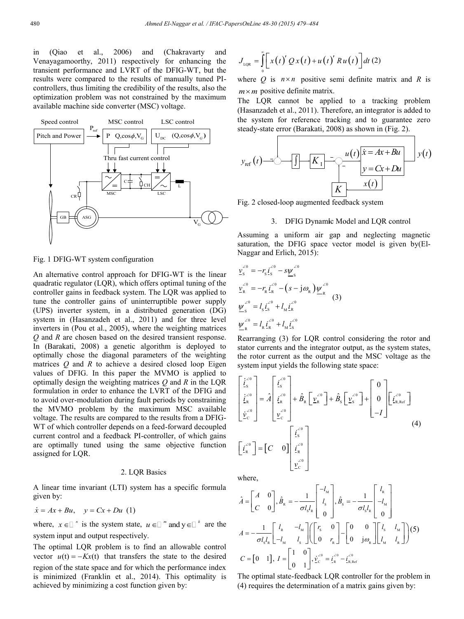in (Qiao et al., 2006) and (Chakravarty and Venayagamoorthy, 2011) respectively for enhancing the transient performance and LVRT of the DFIG-WT, but the results were compared to the results of manually tuned PIcontrollers, thus limiting the credibility of the results, also the optimization problem was not constrained by the maximum available machine side converter (MSC) voltage.



## Fig. 1 DFIG-WT system configuration

An alternative control approach for DFIG-WT is the linear quadratic regulator (LQR), which offers optimal tuning of the controller gains in feedback system. The LQR was applied to tune the controller gains of uninterruptible power supply (UPS) inverter system, in a distributed generation (DG) system in (Hasanzadeh et al., 2011) and for three level inverters in (Pou et al., 2005), where the weighting matrices *Q* and *R* are chosen based on the desired transient response. In (Barakati, 2008) a genetic algorithm is deployed to optimally chose the diagonal parameters of the weighting matrices *Q* and *R* to achieve a desired closed loop Eigen values of DFIG. In this paper the MVMO is applied to optimally design the weighting matrices *Q* and *R* in the LQR formulation in order to enhance the LVRT of the DFIG and to avoid over-modulation during fault periods by constraining the MVMO problem by the maximum MSC available voltage. The results are compared to the results from a DFIG-WT of which controller depends on a feed-forward decoupled current control and a feedback PI-controller, of which gains are optimally tuned using the same objective function assigned for LQR.

#### 2. LQR Basics

A linear time invariant (LTI) system has a specific formula given by:

$$
\dot{x} = Ax + Bu, \quad y = Cx + Du \tag{1}
$$

where,  $x \in \mathbb{R}^n$  is the system state,  $u \in \mathbb{R}^m$  and  $y \in \mathbb{R}^k$  are the system input and output respectively.

The optimal LQR problem is to find an allowable control vector  $u(t) = -Kx(t)$  that transfers the state to the desired region of the state space and for which the performance index is minimized (Franklin et al., 2014). This optimality is achieved by minimizing a cost function given by:

$$
J_{LQR} = \int_{0}^{\infty} \left[ x(t)' Q x(t) + u(t)' R u(t) \right] dt
$$
 (2)

where *Q* is  $n \times n$  positive semi definite matrix and *R* is  $m \times m$  positive definite matrix.

The LQR cannot be applied to a tracking problem (Hasanzadeh et al., 2011). Therefore, an integrator is added to the system for reference tracking and to guarantee zero steady-state error (Barakati, 2008) as shown in (Fig. 2).

$$
y_{\text{ref}}(t) = 0 - \boxed{1 - \frac{K_1}{\frac{1}{K_1} - \frac{u(t)}{v} \cdot (x + Bu)} y(t)}
$$

Fig. 2 closed-loop augmented feedback system

### 3. DFIG Dynam**i**c Model and LQR control

Assuming a uniform air gap and neglecting magnetic saturation, the DFIG space vector model is given by(El-Naggar and Erlich, 2015):

$$
\underline{v}_{s}^{\angle 0} = -r_{s} \underline{i}_{s}^{\angle 0} - s \underline{\psi}_{s}^{\angle 0}
$$
\n
$$
\underline{v}_{R}^{\angle 0} = -r_{R} \underline{i}_{R}^{\angle 0} - (s - j \omega_{R}) \underline{\psi}_{R}^{\angle 0}
$$
\n
$$
\underline{\psi}_{s}^{\angle 0} = l_{s} \underline{i}_{s}^{\angle 0} + l_{M} \underline{i}_{R}^{\angle 0}
$$
\n
$$
\underline{\psi}_{R}^{\angle 0} = l_{R} \underline{i}_{R}^{\angle 0} + l_{M} \underline{i}_{s}^{\angle 0}
$$
\n(3)

Rearranging (3) for LQR control considering the rotor and stator currents and the integrator output, as the system states, the rotor current as the output and the MSC voltage as the system input yields the following state space:

$$
\begin{bmatrix} \dot{t}_{\rm s}^{(0)} \\ \dot{t}_{\rm R}^{(0)} \\ \dot{\underline{v}}_{\rm c}^{(0)} \end{bmatrix} = \hat{A} \begin{bmatrix} t_{\rm s}^{(0)} \\ t_{\rm R}^{(0)} \\ t_{\rm R}^{(0)} \end{bmatrix} + \hat{B}_{\rm R} \begin{bmatrix} \underline{v}_{\rm s}^{(0)} \end{bmatrix} + \hat{B}_{\rm S} \begin{bmatrix} \underline{v}_{\rm s}^{(0)} \end{bmatrix} + \begin{bmatrix} 0 \\ 0 \\ -I \end{bmatrix} \begin{bmatrix} \dot{t}_{\rm R, Ref}^{(0)} \\ \dot{t}_{\rm R,Ref}^{(0)} \end{bmatrix}
$$
\n
$$
\begin{bmatrix} \dot{t}_{\rm s}^{(0)} \\ \dot{t}_{\rm R}^{(0)} \\ \dot{t}_{\rm R}^{(0)} \end{bmatrix} = \begin{bmatrix} C & 0 \end{bmatrix} \begin{bmatrix} t_{\rm s}^{(0)} \\ t_{\rm R}^{(0)} \\ t_{\rm R}^{(0)} \\ \dot{t}_{\rm C}^{(0)} \end{bmatrix}
$$
\n(4)

where,

$$
\hat{A} = \begin{bmatrix} A & 0 \\ C & 0 \end{bmatrix}, \hat{B}_{R} = -\frac{1}{\sigma l_{s} l_{R}} \begin{bmatrix} -l_{M} \\ l_{s} \\ 0 \end{bmatrix}, \hat{B}_{S} = -\frac{1}{\sigma l_{s} l_{R}} \begin{bmatrix} l_{R} \\ -l_{M} \\ 0 \end{bmatrix}
$$

$$
A = -\frac{1}{\sigma l_{s} l_{R}} \begin{bmatrix} l_{R} & -l_{M} \\ -l_{M} & l_{s} \end{bmatrix} \begin{bmatrix} r_{s} & 0 \\ 0 & r_{R} \end{bmatrix} - \begin{bmatrix} 0 & 0 \\ 0 & j\omega_{R} \end{bmatrix} \begin{bmatrix} l_{s} & l_{M} \\ l_{M} & l_{R} \end{bmatrix} \end{bmatrix} (5)
$$

$$
C = \begin{bmatrix} 0 & 1 \end{bmatrix}, I = \begin{bmatrix} 1 & 0 \\ 0 & 1 \end{bmatrix}, \underline{v}_{c}^{\prime 0} = \underline{i}_{R}^{\prime 0} - \underline{i}_{R,Ref}^{\prime 0}
$$

The optimal state-feedback LQR controller for the problem in (4) requires the determination of a matrix gains given by: